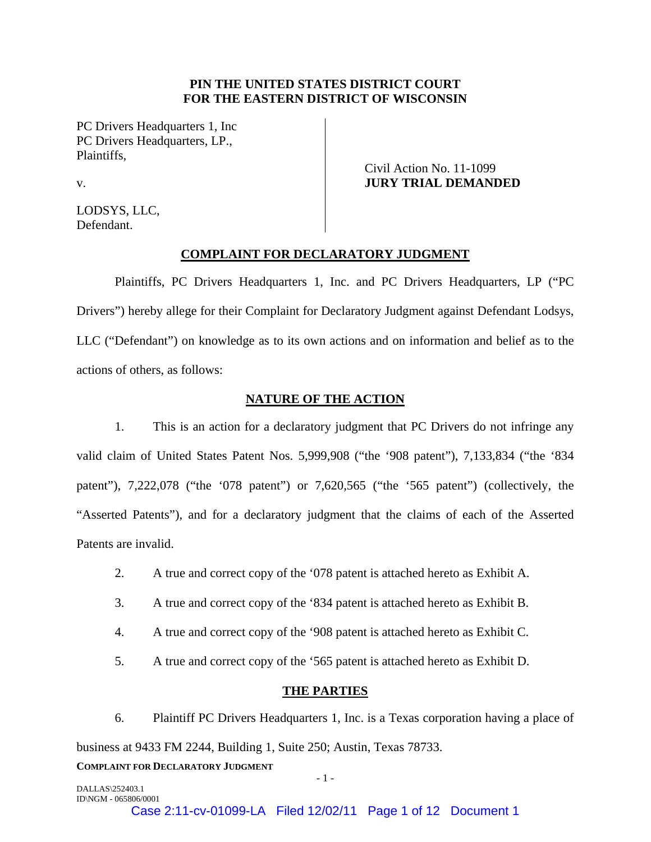# **PIN THE UNITED STATES DISTRICT COURT FOR THE EASTERN DISTRICT OF WISCONSIN**

PC Drivers Headquarters 1, Inc PC Drivers Headquarters, LP., Plaintiffs,

> Civil Action No. 11-1099 **JURY TRIAL DEMANDED**

v.

LODSYS, LLC, Defendant.

# **COMPLAINT FOR DECLARATORY JUDGMENT**

Plaintiffs, PC Drivers Headquarters 1, Inc. and PC Drivers Headquarters, LP ("PC Drivers") hereby allege for their Complaint for Declaratory Judgment against Defendant Lodsys, LLC ("Defendant") on knowledge as to its own actions and on information and belief as to the actions of others, as follows:

# **NATURE OF THE ACTION**

1. This is an action for a declaratory judgment that PC Drivers do not infringe any valid claim of United States Patent Nos. 5,999,908 ("the '908 patent"), 7,133,834 ("the '834 patent"), 7,222,078 ("the '078 patent") or 7,620,565 ("the '565 patent") (collectively, the "Asserted Patents"), and for a declaratory judgment that the claims of each of the Asserted Patents are invalid.

- 2. A true and correct copy of the '078 patent is attached hereto as Exhibit A.
- 3. A true and correct copy of the '834 patent is attached hereto as Exhibit B.
- 4. A true and correct copy of the '908 patent is attached hereto as Exhibit C.
- 5. A true and correct copy of the '565 patent is attached hereto as Exhibit D.

# **THE PARTIES**

**COMPLAINT FOR DECLARATORY JUDGMENT** 6. Plaintiff PC Drivers Headquarters 1, Inc. is a Texas corporation having a place of business at 9433 FM 2244, Building 1, Suite 250; Austin, Texas 78733.

 $-1$  -  $-1$  -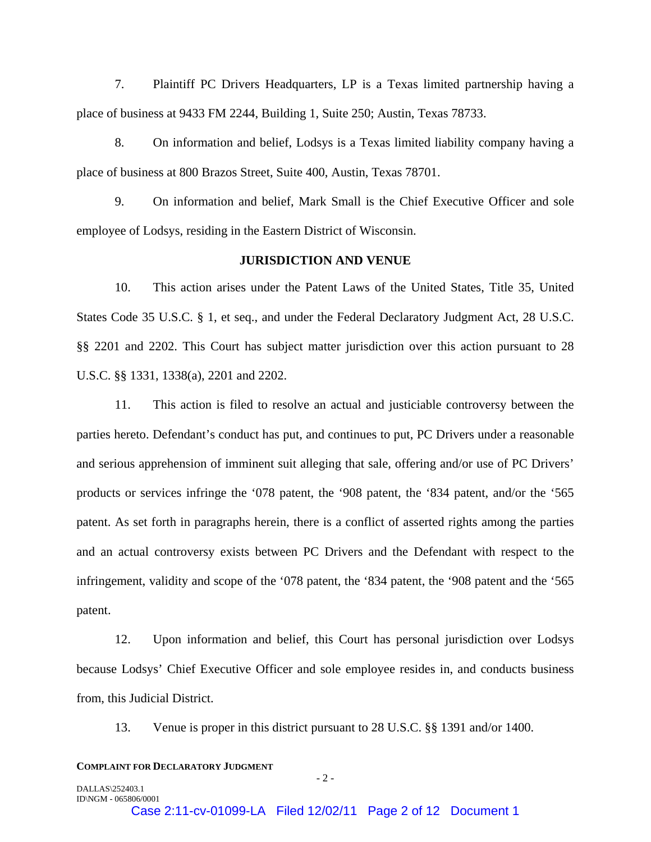7. Plaintiff PC Drivers Headquarters, LP is a Texas limited partnership having a place of business at 9433 FM 2244, Building 1, Suite 250; Austin, Texas 78733.

8. On information and belief, Lodsys is a Texas limited liability company having a place of business at 800 Brazos Street, Suite 400, Austin, Texas 78701.

9. On information and belief, Mark Small is the Chief Executive Officer and sole employee of Lodsys, residing in the Eastern District of Wisconsin.

# **JURISDICTION AND VENUE**

10. This action arises under the Patent Laws of the United States, Title 35, United States Code 35 U.S.C. § 1, et seq., and under the Federal Declaratory Judgment Act, 28 U.S.C. §§ 2201 and 2202. This Court has subject matter jurisdiction over this action pursuant to 28 U.S.C. §§ 1331, 1338(a), 2201 and 2202.

11. This action is filed to resolve an actual and justiciable controversy between the parties hereto. Defendant's conduct has put, and continues to put, PC Drivers under a reasonable and serious apprehension of imminent suit alleging that sale, offering and/or use of PC Drivers' products or services infringe the '078 patent, the '908 patent, the '834 patent, and/or the '565 patent. As set forth in paragraphs herein, there is a conflict of asserted rights among the parties and an actual controversy exists between PC Drivers and the Defendant with respect to the infringement, validity and scope of the '078 patent, the '834 patent, the '908 patent and the '565 patent.

12. Upon information and belief, this Court has personal jurisdiction over Lodsys because Lodsys' Chief Executive Officer and sole employee resides in, and conducts business from, this Judicial District.

13. Venue is proper in this district pursuant to 28 U.S.C. §§ 1391 and/or 1400.

#### **COMPLAINT FOR DECLARATORY JUDGMENT**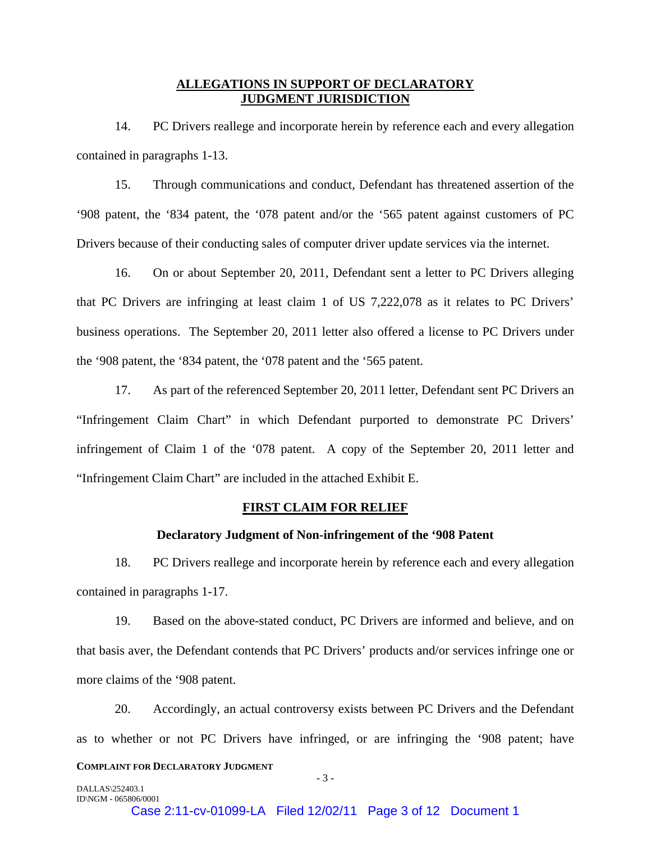# **ALLEGATIONS IN SUPPORT OF DECLARATORY JUDGMENT JURISDICTION**

14. PC Drivers reallege and incorporate herein by reference each and every allegation contained in paragraphs 1-13.

15. Through communications and conduct, Defendant has threatened assertion of the '908 patent, the '834 patent, the '078 patent and/or the '565 patent against customers of PC Drivers because of their conducting sales of computer driver update services via the internet.

16. On or about September 20, 2011, Defendant sent a letter to PC Drivers alleging that PC Drivers are infringing at least claim 1 of US 7,222,078 as it relates to PC Drivers' business operations. The September 20, 2011 letter also offered a license to PC Drivers under the '908 patent, the '834 patent, the '078 patent and the '565 patent.

17. As part of the referenced September 20, 2011 letter, Defendant sent PC Drivers an "Infringement Claim Chart" in which Defendant purported to demonstrate PC Drivers' infringement of Claim 1 of the '078 patent. A copy of the September 20, 2011 letter and "Infringement Claim Chart" are included in the attached Exhibit E.

# **FIRST CLAIM FOR RELIEF**

## **Declaratory Judgment of Non-infringement of the '908 Patent**

18. PC Drivers reallege and incorporate herein by reference each and every allegation contained in paragraphs 1-17.

19. Based on the above-stated conduct, PC Drivers are informed and believe, and on that basis aver, the Defendant contends that PC Drivers' products and/or services infringe one or more claims of the '908 patent.

**COMPLAINT FOR DECLARATORY JUDGMENT** 20. Accordingly, an actual controversy exists between PC Drivers and the Defendant as to whether or not PC Drivers have infringed, or are infringing the '908 patent; have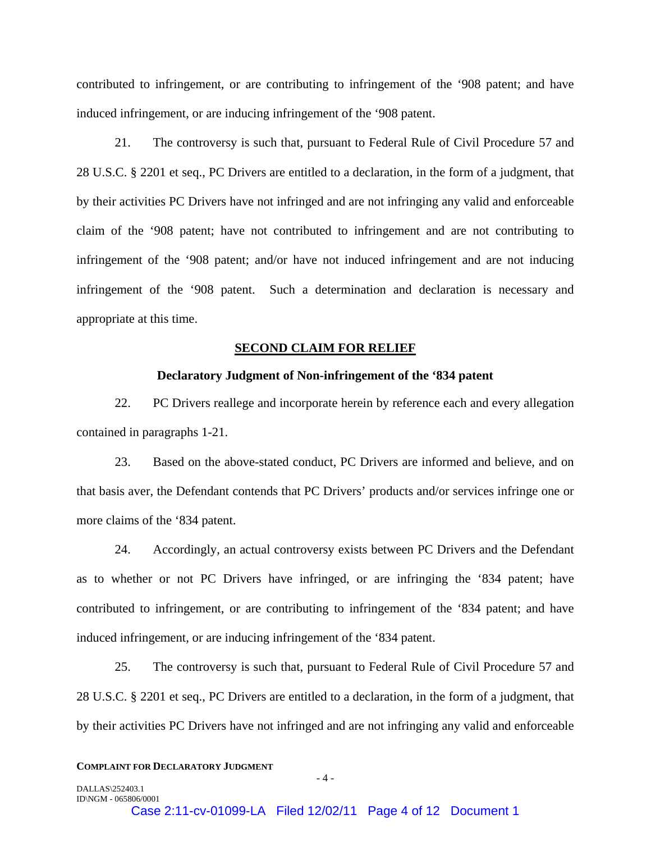contributed to infringement, or are contributing to infringement of the '908 patent; and have induced infringement, or are inducing infringement of the '908 patent.

21. The controversy is such that, pursuant to Federal Rule of Civil Procedure 57 and 28 U.S.C. § 2201 et seq., PC Drivers are entitled to a declaration, in the form of a judgment, that by their activities PC Drivers have not infringed and are not infringing any valid and enforceable claim of the '908 patent; have not contributed to infringement and are not contributing to infringement of the '908 patent; and/or have not induced infringement and are not inducing infringement of the '908 patent. Such a determination and declaration is necessary and appropriate at this time.

## **SECOND CLAIM FOR RELIEF**

## **Declaratory Judgment of Non-infringement of the '834 patent**

22. PC Drivers reallege and incorporate herein by reference each and every allegation contained in paragraphs 1-21.

23. Based on the above-stated conduct, PC Drivers are informed and believe, and on that basis aver, the Defendant contends that PC Drivers' products and/or services infringe one or more claims of the '834 patent.

24. Accordingly, an actual controversy exists between PC Drivers and the Defendant as to whether or not PC Drivers have infringed, or are infringing the '834 patent; have contributed to infringement, or are contributing to infringement of the '834 patent; and have induced infringement, or are inducing infringement of the '834 patent.

25. The controversy is such that, pursuant to Federal Rule of Civil Procedure 57 and 28 U.S.C. § 2201 et seq., PC Drivers are entitled to a declaration, in the form of a judgment, that by their activities PC Drivers have not infringed and are not infringing any valid and enforceable

#### **COMPLAINT FOR DECLARATORY JUDGMENT**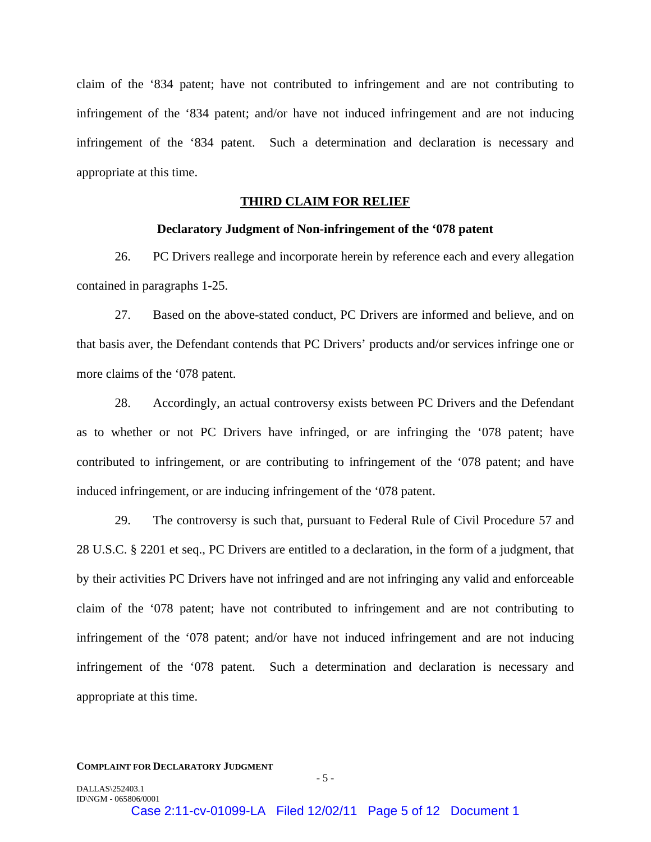claim of the '834 patent; have not contributed to infringement and are not contributing to infringement of the '834 patent; and/or have not induced infringement and are not inducing infringement of the '834 patent. Such a determination and declaration is necessary and appropriate at this time.

# **THIRD CLAIM FOR RELIEF**

## **Declaratory Judgment of Non-infringement of the '078 patent**

26. PC Drivers reallege and incorporate herein by reference each and every allegation contained in paragraphs 1-25.

27. Based on the above-stated conduct, PC Drivers are informed and believe, and on that basis aver, the Defendant contends that PC Drivers' products and/or services infringe one or more claims of the '078 patent.

28. Accordingly, an actual controversy exists between PC Drivers and the Defendant as to whether or not PC Drivers have infringed, or are infringing the '078 patent; have contributed to infringement, or are contributing to infringement of the '078 patent; and have induced infringement, or are inducing infringement of the '078 patent.

29. The controversy is such that, pursuant to Federal Rule of Civil Procedure 57 and 28 U.S.C. § 2201 et seq., PC Drivers are entitled to a declaration, in the form of a judgment, that by their activities PC Drivers have not infringed and are not infringing any valid and enforceable claim of the '078 patent; have not contributed to infringement and are not contributing to infringement of the '078 patent; and/or have not induced infringement and are not inducing infringement of the '078 patent. Such a determination and declaration is necessary and appropriate at this time.

#### **COMPLAINT FOR DECLARATORY JUDGMENT**

DALLAS\252403.1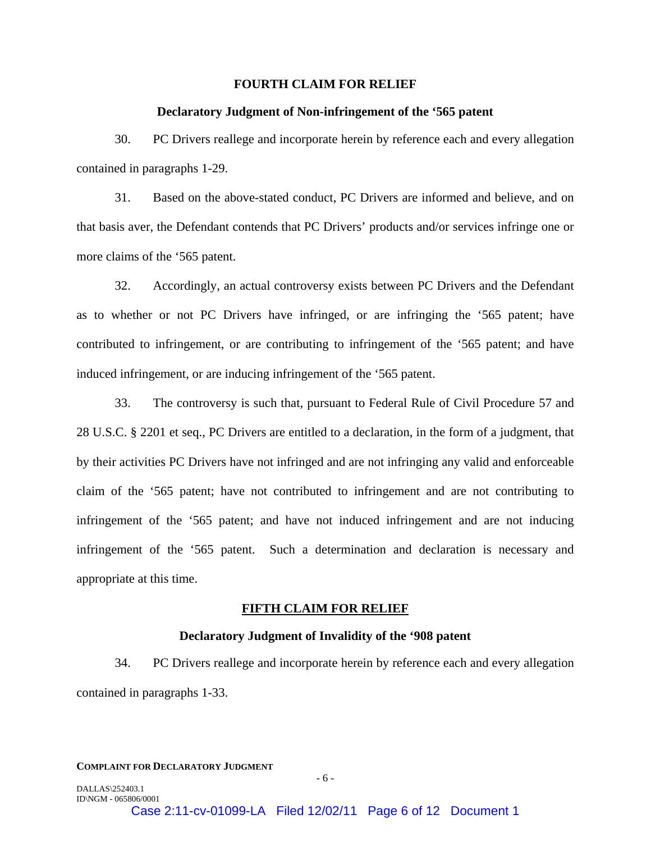## **FOURTH CLAIM FOR RELIEF**

#### **Declaratory Judgment of Non-infringement of the '565 patent**

30. PC Drivers reallege and incorporate herein by reference each and every allegation contained in paragraphs 1-29.

31. Based on the above-stated conduct, PC Drivers are informed and believe, and on that basis aver, the Defendant contends that PC Drivers' products and/or services infringe one or more claims of the '565 patent.

32. Accordingly, an actual controversy exists between PC Drivers and the Defendant as to whether or not PC Drivers have infringed, or are infringing the '565 patent; have contributed to infringement, or are contributing to infringement of the '565 patent; and have induced infringement, or are inducing infringement of the '565 patent.

33. The controversy is such that, pursuant to Federal Rule of Civil Procedure 57 and 28 U.S.C. § 2201 et seq., PC Drivers are entitled to a declaration, in the form of a judgment, that by their activities PC Drivers have not infringed and are not infringing any valid and enforceable claim of the '565 patent; have not contributed to infringement and are not contributing to infringement of the '565 patent; and have not induced infringement and are not inducing infringement of the '565 patent. Such a determination and declaration is necessary and appropriate at this time.

## **FIFTH CLAIM FOR RELIEF**

## **Declaratory Judgment of Invalidity of the '908 patent**

34. PC Drivers reallege and incorporate herein by reference each and every allegation contained in paragraphs 1-33.

#### **COMPLAINT FOR DECLARATORY JUDGMENT**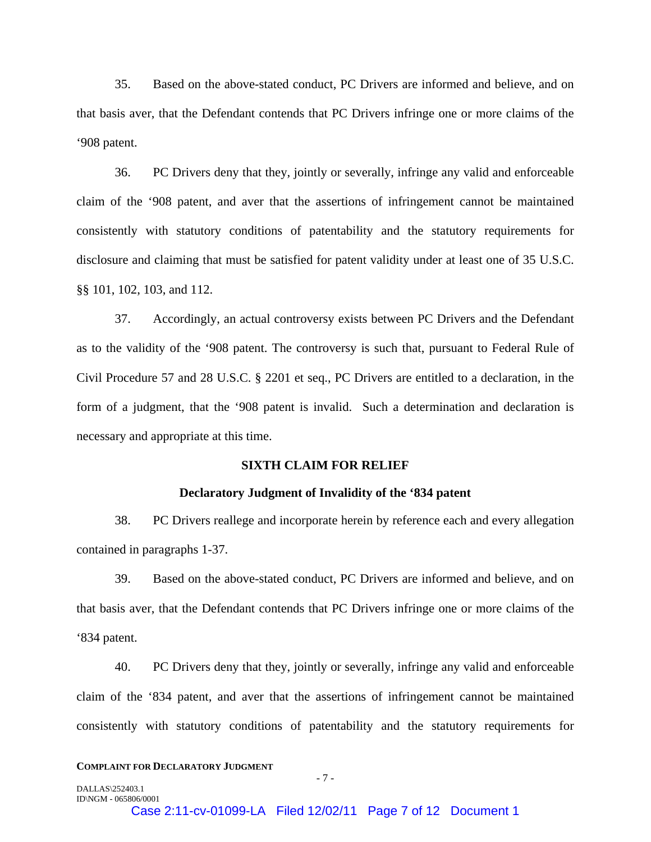35. Based on the above-stated conduct, PC Drivers are informed and believe, and on that basis aver, that the Defendant contends that PC Drivers infringe one or more claims of the '908 patent.

36. PC Drivers deny that they, jointly or severally, infringe any valid and enforceable claim of the '908 patent, and aver that the assertions of infringement cannot be maintained consistently with statutory conditions of patentability and the statutory requirements for disclosure and claiming that must be satisfied for patent validity under at least one of 35 U.S.C. §§ 101, 102, 103, and 112.

37. Accordingly, an actual controversy exists between PC Drivers and the Defendant as to the validity of the '908 patent. The controversy is such that, pursuant to Federal Rule of Civil Procedure 57 and 28 U.S.C. § 2201 et seq., PC Drivers are entitled to a declaration, in the form of a judgment, that the '908 patent is invalid. Such a determination and declaration is necessary and appropriate at this time.

## **SIXTH CLAIM FOR RELIEF**

## **Declaratory Judgment of Invalidity of the '834 patent**

38. PC Drivers reallege and incorporate herein by reference each and every allegation contained in paragraphs 1-37.

39. Based on the above-stated conduct, PC Drivers are informed and believe, and on that basis aver, that the Defendant contends that PC Drivers infringe one or more claims of the '834 patent.

40. PC Drivers deny that they, jointly or severally, infringe any valid and enforceable claim of the '834 patent, and aver that the assertions of infringement cannot be maintained consistently with statutory conditions of patentability and the statutory requirements for

#### **COMPLAINT FOR DECLARATORY JUDGMENT**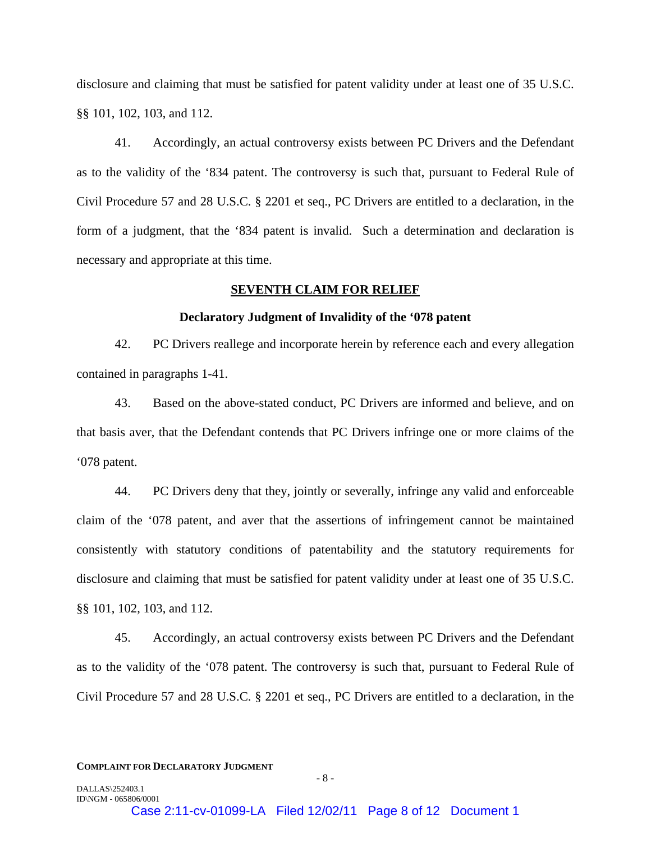disclosure and claiming that must be satisfied for patent validity under at least one of 35 U.S.C. §§ 101, 102, 103, and 112.

41. Accordingly, an actual controversy exists between PC Drivers and the Defendant as to the validity of the '834 patent. The controversy is such that, pursuant to Federal Rule of Civil Procedure 57 and 28 U.S.C. § 2201 et seq., PC Drivers are entitled to a declaration, in the form of a judgment, that the '834 patent is invalid. Such a determination and declaration is necessary and appropriate at this time.

# **SEVENTH CLAIM FOR RELIEF**

## **Declaratory Judgment of Invalidity of the '078 patent**

42. PC Drivers reallege and incorporate herein by reference each and every allegation contained in paragraphs 1-41.

43. Based on the above-stated conduct, PC Drivers are informed and believe, and on that basis aver, that the Defendant contends that PC Drivers infringe one or more claims of the '078 patent.

44. PC Drivers deny that they, jointly or severally, infringe any valid and enforceable claim of the '078 patent, and aver that the assertions of infringement cannot be maintained consistently with statutory conditions of patentability and the statutory requirements for disclosure and claiming that must be satisfied for patent validity under at least one of 35 U.S.C. §§ 101, 102, 103, and 112.

45. Accordingly, an actual controversy exists between PC Drivers and the Defendant as to the validity of the '078 patent. The controversy is such that, pursuant to Federal Rule of Civil Procedure 57 and 28 U.S.C. § 2201 et seq., PC Drivers are entitled to a declaration, in the

#### **COMPLAINT FOR DECLARATORY JUDGMENT**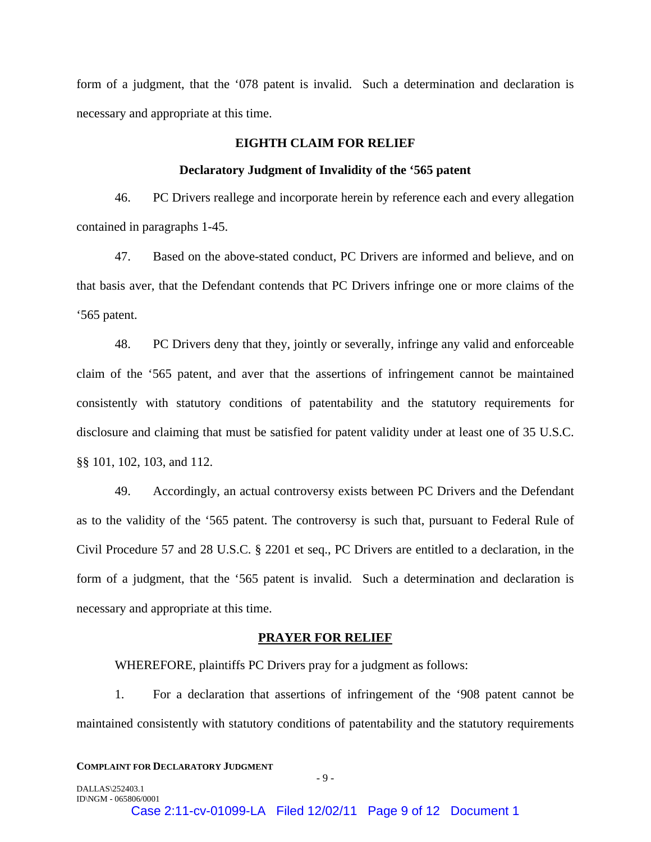form of a judgment, that the '078 patent is invalid. Such a determination and declaration is necessary and appropriate at this time.

# **EIGHTH CLAIM FOR RELIEF**

#### **Declaratory Judgment of Invalidity of the '565 patent**

46. PC Drivers reallege and incorporate herein by reference each and every allegation contained in paragraphs 1-45.

47. Based on the above-stated conduct, PC Drivers are informed and believe, and on that basis aver, that the Defendant contends that PC Drivers infringe one or more claims of the '565 patent.

48. PC Drivers deny that they, jointly or severally, infringe any valid and enforceable claim of the '565 patent, and aver that the assertions of infringement cannot be maintained consistently with statutory conditions of patentability and the statutory requirements for disclosure and claiming that must be satisfied for patent validity under at least one of 35 U.S.C. §§ 101, 102, 103, and 112.

49. Accordingly, an actual controversy exists between PC Drivers and the Defendant as to the validity of the '565 patent. The controversy is such that, pursuant to Federal Rule of Civil Procedure 57 and 28 U.S.C. § 2201 et seq., PC Drivers are entitled to a declaration, in the form of a judgment, that the '565 patent is invalid. Such a determination and declaration is necessary and appropriate at this time.

#### **PRAYER FOR RELIEF**

WHEREFORE, plaintiffs PC Drivers pray for a judgment as follows:

1. For a declaration that assertions of infringement of the '908 patent cannot be maintained consistently with statutory conditions of patentability and the statutory requirements

#### **COMPLAINT FOR DECLARATORY JUDGMENT**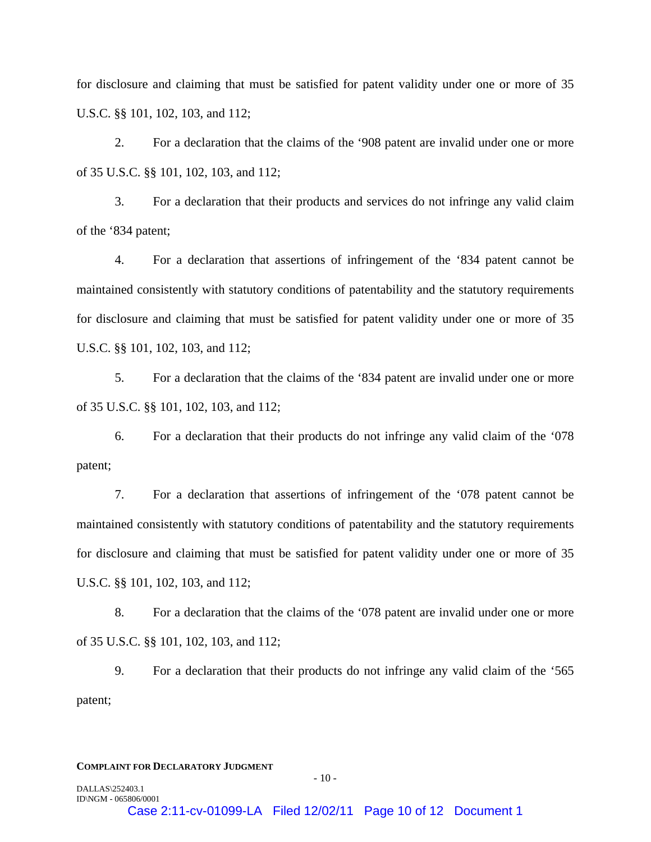for disclosure and claiming that must be satisfied for patent validity under one or more of 35 U.S.C. §§ 101, 102, 103, and 112;

2. For a declaration that the claims of the '908 patent are invalid under one or more of 35 U.S.C. §§ 101, 102, 103, and 112;

3. For a declaration that their products and services do not infringe any valid claim of the '834 patent;

4. For a declaration that assertions of infringement of the '834 patent cannot be maintained consistently with statutory conditions of patentability and the statutory requirements for disclosure and claiming that must be satisfied for patent validity under one or more of 35 U.S.C. §§ 101, 102, 103, and 112;

5. For a declaration that the claims of the '834 patent are invalid under one or more of 35 U.S.C. §§ 101, 102, 103, and 112;

6. For a declaration that their products do not infringe any valid claim of the '078 patent;

7. For a declaration that assertions of infringement of the '078 patent cannot be maintained consistently with statutory conditions of patentability and the statutory requirements for disclosure and claiming that must be satisfied for patent validity under one or more of 35 U.S.C. §§ 101, 102, 103, and 112;

8. For a declaration that the claims of the '078 patent are invalid under one or more of 35 U.S.C. §§ 101, 102, 103, and 112;

9. For a declaration that their products do not infringe any valid claim of the '565 patent;

#### **COMPLAINT FOR DECLARATORY JUDGMENT**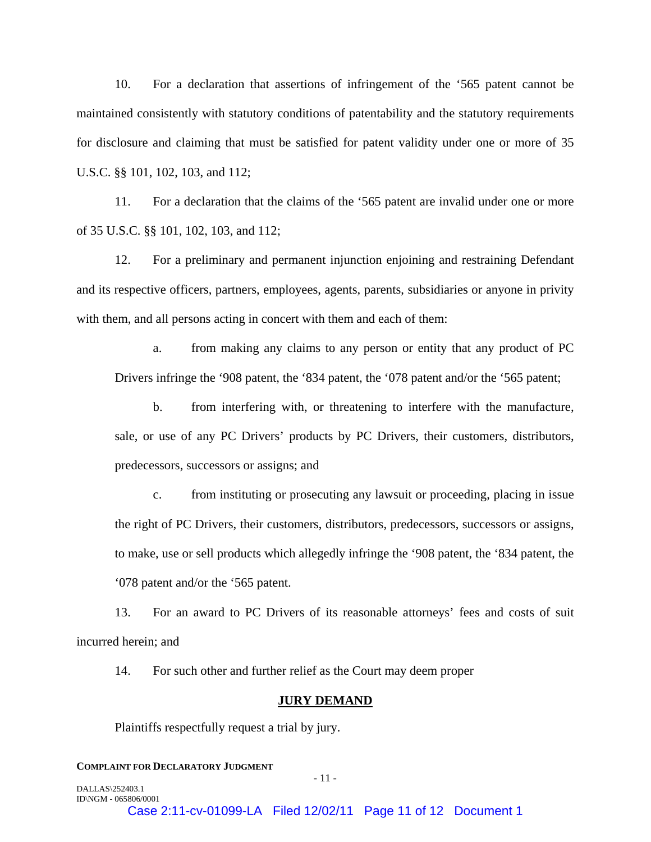10. For a declaration that assertions of infringement of the '565 patent cannot be maintained consistently with statutory conditions of patentability and the statutory requirements for disclosure and claiming that must be satisfied for patent validity under one or more of 35 U.S.C. §§ 101, 102, 103, and 112;

11. For a declaration that the claims of the '565 patent are invalid under one or more of 35 U.S.C. §§ 101, 102, 103, and 112;

12. For a preliminary and permanent injunction enjoining and restraining Defendant and its respective officers, partners, employees, agents, parents, subsidiaries or anyone in privity with them, and all persons acting in concert with them and each of them:

a. from making any claims to any person or entity that any product of PC Drivers infringe the '908 patent, the '834 patent, the '078 patent and/or the '565 patent;

b. from interfering with, or threatening to interfere with the manufacture, sale, or use of any PC Drivers' products by PC Drivers, their customers, distributors, predecessors, successors or assigns; and

c. from instituting or prosecuting any lawsuit or proceeding, placing in issue the right of PC Drivers, their customers, distributors, predecessors, successors or assigns, to make, use or sell products which allegedly infringe the '908 patent, the '834 patent, the '078 patent and/or the '565 patent.

13. For an award to PC Drivers of its reasonable attorneys' fees and costs of suit incurred herein; and

14. For such other and further relief as the Court may deem proper

## **JURY DEMAND**

Plaintiffs respectfully request a trial by jury.

## **COMPLAINT FOR DECLARATORY JUDGMENT**

DALLAS\252403.1 ID\NGM - 065806/0001

 $-11$  -

Case 2:11-cv-01099-LA Filed 12/02/11 Page 11 of 12 Document 1